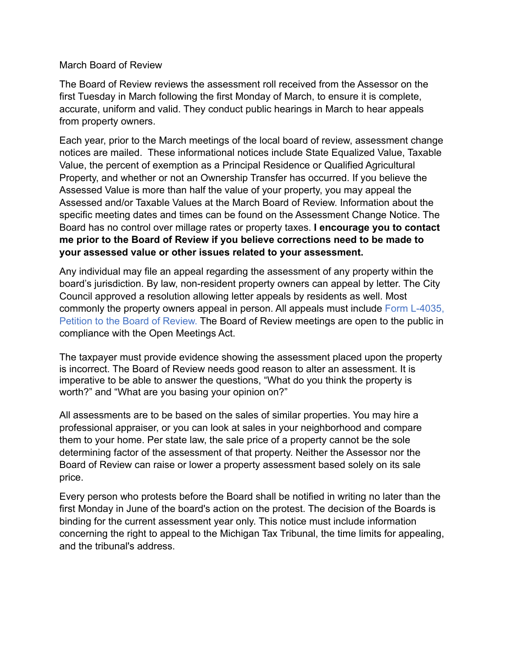March Board of Review

The Board of Review reviews the assessment roll received from the Assessor on the first Tuesday in March following the first Monday of March, to ensure it is complete, accurate, uniform and valid. They conduct public hearings in March to hear appeals from property owners.

Each year, prior to the March meetings of the local board of review, assessment change notices are mailed. These informational notices include State Equalized Value, Taxable Value, the percent of exemption as a Principal Residence or Qualified Agricultural Property, and whether or not an Ownership Transfer has occurred. If you believe the Assessed Value is more than half the value of your property, you may appeal the Assessed and/or Taxable Values at the March Board of Review. Information about the specific meeting dates and times can be found on the Assessment Change Notice. The Board has no control over millage rates or property taxes. **I encourage you to contact me prior to the Board of Review if you believe corrections need to be made to your assessed value or other issues related to your assessment.**

Any individual may file an appeal regarding the assessment of any property within the board's jurisdiction. By law, non-resident property owners can appeal by letter. The City Council approved a resolution allowing letter appeals by residents as well. Most commonly the property owners appeal in person. All appeals must include Form L-4035, Petition to the Board of Review. The Board of Review meetings are open to the public in compliance with the Open Meetings Act.

The taxpayer must provide evidence showing the assessment placed upon the property is incorrect. The Board of Review needs good reason to alter an assessment. It is imperative to be able to answer the questions, "What do you think the property is worth?" and "What are you basing your opinion on?"

All assessments are to be based on the sales of similar properties. You may hire a professional appraiser, or you can look at sales in your neighborhood and compare them to your home. Per state law, the sale price of a property cannot be the sole determining factor of the assessment of that property. Neither the Assessor nor the Board of Review can raise or lower a property assessment based solely on its sale price.

Every person who protests before the Board shall be notified in writing no later than the first Monday in June of the board's action on the protest. The decision of the Boards is binding for the current assessment year only. This notice must include information concerning the right to appeal to the Michigan Tax Tribunal, the time limits for appealing, and the tribunal's address.